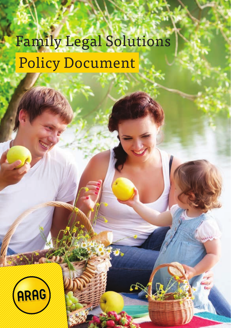# Family Legal Solutions Policy Document

Page 1

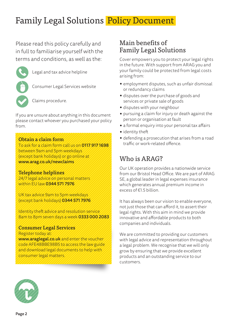## Family Legal Solutions Policy Document

Please read this policy carefully and in full to familiarise yourself with the terms and conditions, as well as the:



Legal and tax advice helpline

Consumer Legal Services website

Claims procedure.

If you are unsure about anything in this document please contact whoever you purchased your policy from.

#### Obtain a claim form

To ask for a claim form call us on 0117 917 1698 between 9am and 5pm weekdays (except bank holidays) or go online at www.arag.co.uk/newclaims

#### Telephone helplines

24/7 legal advice on personal matters within EU law 0344 571 7976

UK tax advice 9am to 5pm weekdays (except bank holidays) 0344 571 7976

Identity theft advice and resolution service 8am to 8pm seven days a week 0333 000 2083

#### Consumer Legal Services

Register today at:

www.araglegal.co.uk and enter the voucher code AFE48BBE98B5 to access the law guide and download legal documents to help with consumer legal matters.

## Main benefits of Family Legal Solutions

Cover empowers you to protect your legal rights in the future. With support from ARAG you and your family could be protected from legal costs arising from:

- employment disputes, such as unfair dismissal or redundancy claims
- disputes over the purchase of goods and services or private sale of goods
- disputes with your neighbour
- pursuing a claim for injury or death against the person or organisation at fault
- a formal enquiry into your personal tax affairs
- identity theft
- defending a prosecution that arises from a road traffic or work-related offence

## Who is ARAG?

Our UK operation provides a nationwide service from our Bristol Head Office. We are part of ARAG SE, a global leader in legal expenses insurance which generates annual premium income in excess of €1.5 billion

It has always been our vision to enable everyone, not just those that can afford it, to assert their legal rights. With this aim in mind we provide innovative and affordable products to both companies and individuals.

We are committed to providing our customers with legal advice and representation throughout a legal problem. We recognise that we will only grow by ensuring that we provide excellent products and an outstanding service to our customers.

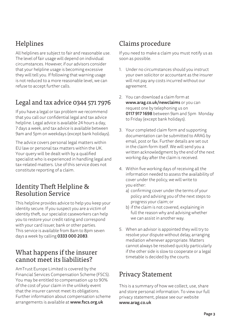## Helplines

All helplines are subject to fair and reasonable use. The level of fair usage will depend on individual circumstances. However, if our advisors consider that your helpline usage is becoming excessive they will tell you. If following that warning usage is not reduced to a more reasonable level, we can refuse to accept further calls.

## Legal and tax advice 0344 571 7976

If you have a legal or tax problem we recommend that you call our confidential legal and tax advice helpline. Legal advice is available 24 hours a day, 7 days a week, and tax advice is available between 9am and 5pm on weekdays (except bank holidays).

The advice covers personal legal matters within EU law or personal tax matters within the UK. Your query will be dealt with by a qualified specialist who is experienced in handling legal and tax-related matters. Use of this service does not constitute reporting of a claim.

## Identity Theft Helpline & Resolution Service

This helpline provides advice to help you keep your identity secure. If you suspect you are a victim of identity theft, our specialist caseworkers can help you to restore your credit rating and correspond with your card issuer, bank or other parties. This service is available from 8am to 8pm seven days a week by calling 0333 000 2083.

## What happens if the insurer cannot meet its liabilities?

AmTrust Europe Limited is covered by the Financial Services Compensation Scheme (FSCS). You may be entitled to compensation up to 90% of the cost of your claim in the unlikely event that the insurer cannot meet its obligations. Further information about compensation scheme arrangements is available at www.fscs.org.uk

## Claims procedure

If you need to make a claim you must notify us as soon as possible.

- 1. Under no circumstances should you instruct your own solicitor or accountant as the insurer will not pay any costs incurred without our agreement.
- 2. You can download a claim form at www.arag.co.uk/newclaims or you can request one by telephoning us on 0117 917 1698 between 9am and 5pm Monday to Friday (except bank holidays).
- 3. Your completed claim form and supporting documentation can be submitted to ARAG by email, post or fax. Further details are set out in the claim form itself. We will send you a written acknowledgment by the end of the next working day after the claim is received.
- 4. Within five working days of receiving all the information needed to assess the availability of cover under the policy, we will write to you either:
	- a) confirming cover under the terms of your policy and advising you of the next steps to progress your claim; or
	- b) if the claim is not covered, explaining in full the reason why and advising whether we can assist in another way.
- 5. When an advisor is appointed they will try to resolve your dispute without delay, arranging mediation whenever appropriate. Matters cannot always be resolved quickly particularly if the other side is slow to cooperate or a legal timetable is decided by the courts.

## Privacy Statement

This is a summary of how we collect, use, share and store personal information. To view our full privacy statement, please see our website www.arag.co.uk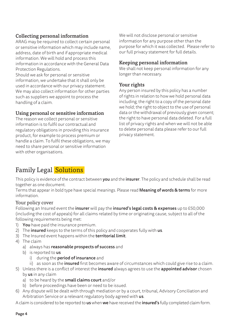#### Collecting personal information

ARAG may be required to collect certain personal or sensitive information which may include name, address, date of birth and if appropriate medical information. We will hold and process this information in accordance with the General Data Protection Regulations.

Should we ask for personal or sensitive information, we undertake that it shall only be used in accordance with our privacy statement. We may also collect information for other parties such as suppliers we appoint to process the handling of a claim.

#### Using personal or sensitive information

The reason we collect personal or sensitive information is to fulfil our contractual and regulatory obligations in providing this insurance product, for example to process premium or handle a claim. To fulfil these obligations, we may need to share personal or sensitive information with other organisations.

We will not disclose personal or sensitive information for any purpose other than the purpose for which it was collected. Please refer to our full privacy statement for full details.

#### Keeping personal information

We shall not keep personal information for any longer than necessary.

#### Your rights

Any person insured by this policy has a number of rights in relation to how we hold personal data including; the right to a copy of the personal date we hold; the right to object to the use of personal data or the withdrawal of previously given consent; the right to have personal data deleted. For a full list of privacy rights and when we will not be able to delete personal data please refer to our full privacy statement.

## Family Legal Solutions

This policy is evidence of the contract between you and the insurer. The policy and schedule shall be read together as one document.

Terms that appear in bold type have special meanings. Please read **Meaning of words & terms** for more information.

#### Your policy cover

Following an Insured event the insurer will pay the insured's legal costs & expenses up to £50,000 (including the cost of appeals) for all claims related by time or originating cause, subject to all of the following requirements being met:

- 1) You have paid the insurance premium.
- 2) The insured keeps to the terms of this policy and cooperates fully with us.
- 3) The Insured event happens within the territorial limit.
- 4) The claim
	- a) always has reasonable prospects of success and
	- b) is reported to us
		- i) during the **period of insurance** and
		- ii) as soon as the *insured* first becomes aware of circumstances which could give rise to a claim.
- 5) Unless there is a conflict of interest the insured always agrees to use the appointed advisor chosen by us in any claim
	- a) to be heard by the small claims court and/or
	- b) before proceedings have been or need to be issued.
- 6) Any dispute will be dealt with through mediation or by a court, tribunal, Advisory Conciliation and Arbitration Service or a relevant regulatory body agreed with us.

A claim is considered to be reported to us when we have received the insured's fully completed claim form.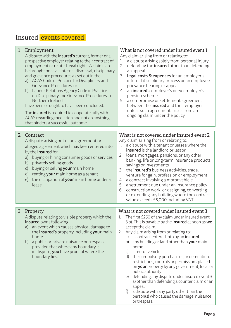## Insured **events covered**

| 1 | Employment<br>A dispute with the insured's current, former or a<br>prospective employer relating to their contract of<br>employment or related legal rights. A claim can<br>be brought once all internal dismissal, disciplinary<br>and grievance procedures as set out in the<br>a) ACAS Code of Practice for Disciplinary and<br>Grievance Procedures, or<br>b) Labour Relations Agency Code of Practice<br>on Disciplinary and Grievance Procedures in<br>Northern Ireland<br>have been or ought to have been concluded.<br>The <b>insured</b> is required to cooperate fully with<br>ACAS regarding mediation and not do anything<br>that hinders a successful outcome. | What is not covered under Insured event 1<br>Any claim arising from or relating to:<br>a dispute arising solely from personal injury<br>1.<br>defending the insured other than defending<br>2.<br>an appeal<br>3.<br><b>legal costs &amp; expenses</b> for an employer's<br>internal disciplinary process or an employee's<br>grievance hearing or appeal<br>an <b>insured's</b> employer's or ex-employer's<br>4.<br>pension scheme<br>5. a compromise or settlement agreement<br>between the <i>insured</i> and their employer<br>unless such agreement arises from an<br>ongoing claim under the policy.                                                                                                                                                                |
|---|-----------------------------------------------------------------------------------------------------------------------------------------------------------------------------------------------------------------------------------------------------------------------------------------------------------------------------------------------------------------------------------------------------------------------------------------------------------------------------------------------------------------------------------------------------------------------------------------------------------------------------------------------------------------------------|----------------------------------------------------------------------------------------------------------------------------------------------------------------------------------------------------------------------------------------------------------------------------------------------------------------------------------------------------------------------------------------------------------------------------------------------------------------------------------------------------------------------------------------------------------------------------------------------------------------------------------------------------------------------------------------------------------------------------------------------------------------------------|
|   |                                                                                                                                                                                                                                                                                                                                                                                                                                                                                                                                                                                                                                                                             |                                                                                                                                                                                                                                                                                                                                                                                                                                                                                                                                                                                                                                                                                                                                                                            |
| 2 | Contract<br>A dispute arising out of an agreement or<br>alleged agreement which has been entered into<br>by the <b>insured</b> for<br>buying or hiring consumer goods or services<br>a)<br>privately selling goods<br>b)<br>buying or selling your main home<br>$\mathsf{C}$<br>renting your main home as a tenant<br>d)<br>the occupation of your main home under a<br>e)<br>lease.                                                                                                                                                                                                                                                                                        | What is not covered under Insured event 2<br>Any claim arising from or relating to:<br>a dispute with a tenant or leasee where the<br>1.<br><b>insured</b> is the landlord or lessor<br>2.<br>loans, mortgages, pensions, or any other<br>banking, life or long-term insurance products,<br>savings or investments<br>3. the <b>insured's</b> business activities, trade,<br>venture for gain, profession or employment<br>a contract involving a motor vehicle<br>4.<br>5. a settlement due under an insurance policy<br>6. construction work, or designing, converting<br>or extending any building where the contract<br>value exceeds £6,000 including VAT.                                                                                                            |
| 3 | Property<br>A dispute relating to visible property which the<br><b>insured</b> owns following<br>a) an event which causes physical damage to<br>the insured's property including your main<br>home<br>b) a public or private nuisance or trespass<br>provided that where any boundary is<br>in dispute, you have proof of where the<br>boundary lies.                                                                                                                                                                                                                                                                                                                       | What is not covered under Insured event 3<br>The first £250 of any claim under Insured event<br>1.<br>3 b). This is payable by the insured as soon as we<br>accept the claim.<br>2. Any claim arising from or relating to:<br>a contract entered into by an <b>insured</b><br>a)<br>any building or land other than your main<br>b)<br>home<br>a motor vehicle<br>C)<br>the compulsory purchase of, or demolition,<br>d)<br>restrictions, controls or permissions placed<br>on your property by any government, local or<br>public authority<br>defending any dispute under Insured event 3<br>e)<br>a) other than defending a counter claim or an<br>appeal<br>f)<br>a dispute with any party other than the<br>person(s) who caused the damage, nuisance<br>or trespass. |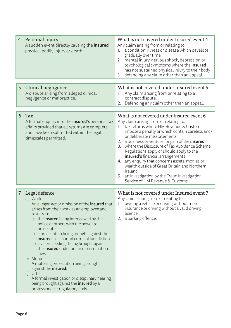|   | 4 Personal injury<br>A sudden event directly causing the insured<br>physical bodily injury or death.                                                                                                                                                                                                                                                                                                                                                                                                                                                                                                                                                                                       | What is not covered under Insured event 4<br>Any claim arising from or relating to:<br>a condition, illness or disease which develops<br>gradually over time<br>2. mental injury, nervous shock, depression or<br>psychological symptoms where the insured<br>has not sustained physical injury to their body<br>3.<br>defending any claim other than an appeal.                                                                                                                                                                                                                                                    |
|---|--------------------------------------------------------------------------------------------------------------------------------------------------------------------------------------------------------------------------------------------------------------------------------------------------------------------------------------------------------------------------------------------------------------------------------------------------------------------------------------------------------------------------------------------------------------------------------------------------------------------------------------------------------------------------------------------|---------------------------------------------------------------------------------------------------------------------------------------------------------------------------------------------------------------------------------------------------------------------------------------------------------------------------------------------------------------------------------------------------------------------------------------------------------------------------------------------------------------------------------------------------------------------------------------------------------------------|
| 5 | Clinical negligence<br>A dispute arising from alleged clinical<br>negligence or malpractice.                                                                                                                                                                                                                                                                                                                                                                                                                                                                                                                                                                                               | What is not covered under Insured event 5<br>1. Any claim arising from or relating to a<br>contract dispute.<br>Defending any claim other than an appeal.<br>2.                                                                                                                                                                                                                                                                                                                                                                                                                                                     |
| 6 | Tax<br>A formal enquiry into the <b>insured's</b> personal tax<br>affairs provided that all returns are complete<br>and have been submitted within the legal<br>timescales permitted.                                                                                                                                                                                                                                                                                                                                                                                                                                                                                                      | What is not covered under Insured event 6<br>Any claim arising from or relating to:<br>1. tax returns where HM Revenue & Customs<br>impose a penalty or which contain careless and/<br>or deliberate misstatements<br>2. a business or venture for gain of the insured<br>3. where the Disclosure of Tax Avoidance Scheme<br>Regulations apply or should apply to the<br><b>insured's</b> financial arrangements<br>4. any enquiry that concerns assets, monies or<br>wealth outside of Great Britain and Northern<br>Ireland<br>5. an investigation by the Fraud Investigation<br>Service of HM Revenue & Customs. |
| 7 | Legal defence<br>a) Work<br>An alleged act or omission of the <b>insured</b> that<br>arises from their work as an employee and<br>results in:<br>i) the <b>insured</b> being interviewed by the<br>police or others with the power to<br>prosecute<br>ii) a prosecution being brought against the<br>insured in a court of criminal jurisdiction<br>iii) civil proceedings being brought against<br>the <b>insured</b> under unfair discrimination<br>laws.<br>b) Motor<br>A motoring prosecution being brought<br>against the insured.<br>c) Other<br>A formal investigation or disciplinary hearing<br>being brought against the <b>insured</b> by a<br>professional or regulatory body. | What is not covered under Insured event 7<br>Any claim arising from or relating to:<br>owning a vehicle or driving without motor<br>1.<br>insurance or driving without a valid driving<br>licence<br>2. a parking offence.                                                                                                                                                                                                                                                                                                                                                                                          |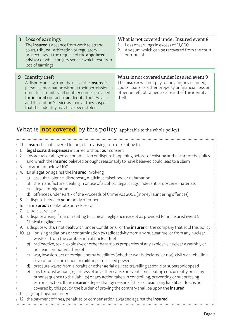| 8 | Loss of earnings<br>The <b>insured's</b> absence from work to attend<br>court, tribunal, arbitration or regulatory<br>proceedings at the request of the appointed<br>advisor or whilst on jury service which results in<br>loss of earnings.                                                                             | What is not covered under Insured event 8<br>Loss of earnings in excess of £1,000.<br>1.<br>Any sum which can be recovered from the court<br>2.<br>or tribunal.                                                             |
|---|--------------------------------------------------------------------------------------------------------------------------------------------------------------------------------------------------------------------------------------------------------------------------------------------------------------------------|-----------------------------------------------------------------------------------------------------------------------------------------------------------------------------------------------------------------------------|
| 9 | Identity theft<br>A dispute arising from the use of the insured's<br>personal information without their permission in<br>order to commit fraud or other crimes provided<br>the insured contacts our Identity Theft Advice<br>and Resolution Service as soon as they suspect<br>that their identity may have been stolen. | What is not covered under Insured event 9<br>The <b>insurer</b> will not pay for any money claimed,<br>goods, loans, or other property or financial loss or<br>other benefit obtained as a result of the identity<br>theft. |

## What is not covered by this policy (applicable to the whole policy)

The **insured** is not covered for any claim arising from or relating to:

- 1. legal costs & expenses incurred without our consent
- 2. any actual or alleged act or omission or dispute happening before, or existing at the start of the policy and which the *insured* believed or ought reasonably to have believed could lead to a claim
- 3. an amount below £100
- 4. an allegation against the **insured** involving:
	- a) assault, violence, dishonesty, malicious falsehood or defamation
	- b) the manufacture, dealing in or use of alcohol, illegal drugs, indecent or obscene materials
	- c) illegal immigration
	- d) offences under Part 7 of the Proceeds of Crime Act 2002 (money laundering offences)
- 5. a dispute between **your** family members
- 6. an insured's deliberate or reckless act
- 7. a judicial review
- 8. a dispute arising from or relating to clinical negligence except as provided for in Insured event 5 Clinical negligence
- 9. a dispute with us not dealt with under Condition 6, or the insurer or the company that sold this policy
- 10. a) ionising radiations or contamination by radioactivity from any nuclear fuel or from any nuclear waste or from the combustion of nuclear fuel
	- b) radioactive, toxic, explosive or other hazardous properties of any explosive nuclear assembly or nuclear component thereof
	- c) war, invasion, act of foreign enemy hostilities (whether war is declared or not), civil war, rebellion, revolution, insurrection or military or usurped power
	- d) pressure waves from aircrafts or other aerial devices travelling at sonic or supersonic speed
	- e) any terrorist action (regardless of any other cause or event contributing concurrently or in any other sequence to the liability) or any action taken in controlling, preventing or suppressing terrorist action. If the insurer alleges that by reason of this exclusion any liability or loss is not covered by this policy, the burden of proving the contrary shall be upon the *insured*
- 11. a group litigation order

```
12. the payment of fines, penalties or compensation awarded against the insured.
```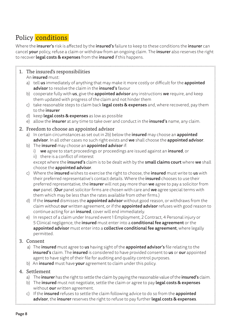## Policy conditions

Where the insurer's risk is affected by the insured's failure to keep to these conditions the insurer can cancel your policy, refuse a claim or withdraw from an ongoing claim. The insurer also reserves the right to recover legal costs & expenses from the insured if this happens.

### 1. The insured's responsibilities

An insured must:

- a) tell us immediately of anything that may make it more costly or difficult for the appointed advisor to resolve the claim in the insured's favour
- b) cooperate fully with  $us$ , give the appointed advisor any instructions we require, and keep them updated with progress of the claim and not hinder them
- c) take reasonable steps to claim back **legal costs & expenses** and, where recovered, pay them to the insurer
- d) keep legal costs & expenses as low as possible
- e) allow the **insurer** at any time to take over and conduct in the **insured's** name, any claim.

#### 2. Freedom to choose an appointed advisor

- a) In certain circumstances as set out in 2b) below the **insured** may choose an **appointed** advisor. In all other cases no such right exists and we shall choose the appointed advisor.
- b) The insured may choose an appointed advisor if:
	- i) we agree to start proceedings or proceedings are issued against an insured, or
	- ii) there is a conflict of interest

except where the insured's claim is to be dealt with by the small claims court where we shall choose the appointed advisor.

- c) Where the insured wishes to exercise the right to choose, the insured must write to us with their preferred representative's contact details. Where the *insured* chooses to use their preferred representative, the *insurer* will not pay more than we agree to pay a solicitor from our panel. (Our panel solicitor firms are chosen with care and we agree special terms with them which may be less than the rates available from other firms.)
- d) If the insured dismisses the appointed advisor without good reason, or withdraws from the claim without our written agreement, or if the appointed advisor refuses with good reason to continue acting for an insured, cover will end immediately.
- e) In respect of a claim under Insured event 1 Employment, 2 Contract, 4 Personal injury or 5 Clinical negligence, the insured must enter into a conditional fee agreement or the appointed advisor must enter into a collective conditional fee agreement, where legally permitted.

#### 3. Consent

- a) The insured must agree to us having sight of the appointed advisor's file relating to the insured's claim. The insured is considered to have provided consent to us or our appointed agent to have sight of their file for auditing and quality control purposes.
- b) An insured must have your agreement to claim under this policy.

#### 4. Settlement

- a) The insurer has the right to settle the claim by paying the reasonable value of the insured's claim.
- b) The insured must not negotiate, settle the claim or agree to pay legal costs & expenses without our written agreement.
- c) If the **insured** refuses to settle the claim following advice to do so from the **appointed** advisor, the insurer reserves the right to refuse to pay further legal costs & expenses.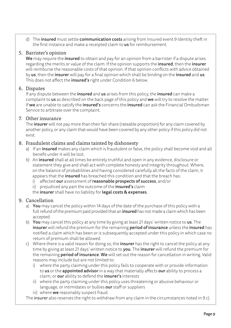d) The **insured** must settle **communication costs** arising from Insured event 9 Identity theft in the first instance and make a receipted claim to us for reimbursement.

#### 5. Barrister's opinion

We may require the *insured* to obtain and pay for an opinion from a barrister if a dispute arises regarding the merits or value of the claim. If the opinion supports the **insured**, then the *insurer* will reimburse the reasonable costs of that opinion. If that opinion conflicts with advice obtained by us, then the insurer will pay for a final opinion which shall be binding on the insured and us. This does not affect the *insured's* right under Condition 6 below.

#### 6. Disputes

If any dispute between the *insured* and us arises from this policy, the *insured* can make a complaint to us as described on the back page of this policy and we will try to resolve the matter. If we are unable to satisfy the *insured's* concerns the *insured* can ask the Financial Ombudsman Service to arbitrate over the complaint.

#### 7. Other insurance

The insurer will not pay more than their fair share (rateable proportion) for any claim covered by another policy, or any claim that would have been covered by any other policy if this policy did not exist.

#### 8. Fraudulent claims and claims tainted by dishonesty

- a) If an insured makes any claim which is fraudulent or false, the policy shall become void and all benefit under it will be lost.
- b) An insured shall at all times be entirely truthful and open in any evidence, disclosure or statement they give and shall act with complete honesty and integrity throughout. Where, on the balance of probabilities and having considered carefully all the facts of the claim, it appears that the **insured** has breached this condition and that the breach has:
	- i) affected our assessment of reasonable prospects of success, and/or
	- ii) prejudiced any part the outcome of the *insured's* claim
	- the insurer shall have no liability for legal costs & expenses.

#### 9. Cancellation

- a) You may cancel the policy within 14 days of the date of the purchase of this policy with a full refund of the premium paid provided that an **insured** has not made a claim which has been accepted.
- b) You may cancel this policy at any time by giving at least 21 days' written notice to us. The insurer will refund the premium for the remaining period of insurance unless the insured has notified a claim which has been or is subsequently accepted under this policy in which case no return of premium shall be allowed.
- c) Where there is a valid reason for doing so, the *insurer* has the right to cancel the policy at any time by giving at least 21 days' written notice to **you**. The **insurer** will refund the premium for the remaining **period of insurance**. We will set out the reason for cancellation in writing. Valid reasons may include but are not limited to:
	- where the party claiming under this policy fails to cooperate with or provide information to us or the appointed advisor in a way that materially affects our ability to process a claim, or our ability to defend the insurer's interests
	- ii) where the party claiming under this policy uses threatening or abusive behaviour or language, or intimidates or bullies our staff or suppliers
	- iii) where **we** reasonably suspect fraud.

The insurer also reserves the right to withdraw from any claim in the circumstances noted in 9 c).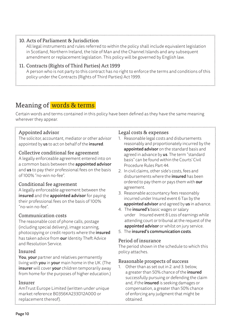All legal instruments and rules referred to within the policy shall include equivalent legislation in Scotland, Northern Ireland, the Isle of Man and the Channel Islands and any subsequent amendment or replacement legislation. This policy will be governed by English law.

#### 11. Contracts (Rights of Third Parties) Act 1999

 A person who is not party to this contract has no right to enforce the terms and conditions of this policy under the Contracts (Rights of Third Parties) Act 1999.

## Meaning of words & terms

Certain words and terms contained in this policy have been defined as they have the same meaning wherever they appear.

#### Appointed advisor

The solicitor, accountant, mediator or other advisor appointed by us to act on behalf of the insured.

#### Collective conditional fee agreement

A legally enforceable agreement entered into on a common basis between the **appointed advisor** and us to pay their professional fees on the basis of 100% "no-win no-fee".

#### Conditional fee agreement

A legally enforceable agreement between the insured and the appointed advisor for paying their professional fees on the basis of 100% "no-win no-fee".

#### Communication costs

The reasonable cost of phone calls, postage (including special delivery), image scanning, photocopying or credit reports where the insured has taken advice from **our** Identity Theft Advice and Resolution Service.

#### Insured

You, your partner and relatives permanently living with you in your main home in the UK. (The insurer will cover your children temporarily away from home for the purposes of higher education.)

#### Insurer

AmTrust Europe Limited (written under unique market reference B0356KA233D12A000 or replacement thereof).

#### Legal costs & expenses

- 1. Reasonable legal costs and disbursements reasonably and proportionately incurred by the appointed advisor on the standard basis and agreed in advance by us. The term "standard basis" can be found within the Courts' Civil Procedure Rules Part 44.
- 2. In civil claims, other side's costs, fees and disbursements where the insured has been ordered to pay them or pays them with our agreement.
- 3. Reasonable accountancy fees reasonably incurred under Insured event 6 Tax by the appointed advisor and agreed by us in advance.
- 4. The *insured's* basic wages or salary under Insured event 8 Loss of earnings while attending court or tribunal at the request of the appointed advisor or whilst on jury service.
- 5. The insured's communication costs.

#### Period of insurance

The period shown in the schedule to which this policy attaches.

#### Reasonable prospects of success

1. Other than as set out in 2. and 3. below, a greater than 50% chance of the insured successfully pursuing or defending the claim and, if the insured is seeking damages or compensation, a greater than 50% chance of enforcing any judgment that might be obtained.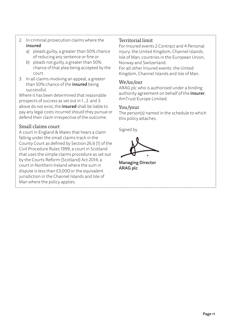- 
- 2. In criminal prosecution claims where the insured
	- a) pleads guilty, a greater than 50% chance of reducing any sentence or fine or
	- b) pleads not guilty, a greater than 50% chance of that plea being accepted by the court.
- 3. In all claims involving an appeal, a greater than 50% chance of the insured being successful.

Where it has been determined that reasonable prospects of success as set out in 1., 2. and 3. above do not exist, the *insured* shall be liable to pay any legal costs incurred should they pursue or defend their claim irrespective of the outcome.

#### Small claims court

A court in England & Wales that hears a claim falling under the small claims track in the County Court as defined by Section 26.6 (1) of the Civil Procedure Rules 1999; a court in Scotland that uses the simple claims procedure as set out by the Courts Reform (Scotland) Act 2014, a court in Northern Ireland where the sum in dispute is less than £3,000 or the equivalent jurisdiction in the Channel Islands and Isle of Man where the policy applies.

#### Territorial limit

For Insured events 2 Contract and 4 Personal injury: the United Kingdom, Channel Islands, Isle of Man, countries in the European Union, Norway and Switzerland.

For all other Insured events: the United Kingdom, Channel Islands and Isle of Man.

#### We/us/our

ARAG plc who is authorised under a binding authority agreement on behalf of the insurer, AmTrust Europe Limited.

#### You/your

The person(s) named in the schedule to which this policy attaches.

Signed by

Managing Director ARAG plc